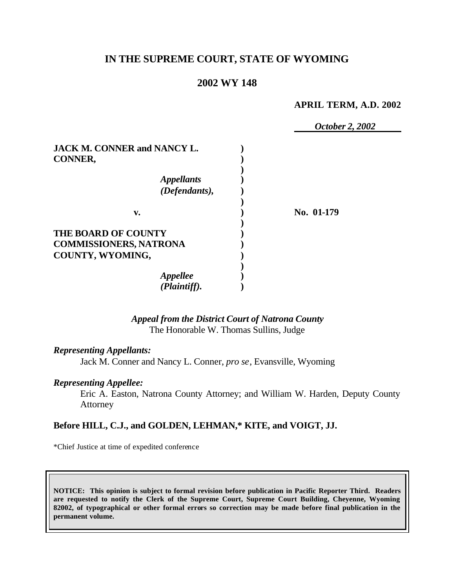## **IN THE SUPREME COURT, STATE OF WYOMING**

## **2002 WY 148**

#### **APRIL TERM, A.D. 2002**

 *October 2, 2002* **JACK M. CONNER and NANCY L. ) CONNER, ) )** *Appellants* **)** *(Defendants),* **) ) v. ) No. 01-179 ) THE BOARD OF COUNTY ) COMMISSIONERS, NATRONA ) COUNTY, WYOMING, ) )** *Appellee* **)** *(Plaintiff).* **)**

## *Appeal from the District Court of Natrona County* The Honorable W. Thomas Sullins, Judge

#### *Representing Appellants:*

Jack M. Conner and Nancy L. Conner, *pro se*, Evansville, Wyoming

#### *Representing Appellee:*

Eric A. Easton, Natrona County Attorney; and William W. Harden, Deputy County Attorney

#### **Before HILL, C.J., and GOLDEN, LEHMAN,\* KITE, and VOIGT, JJ.**

\*Chief Justice at time of expedited conference

**NOTICE: This opinion is subject to formal revision before publication in Pacific Reporter Third. Readers are requested to notify the Clerk of the Supreme Court, Supreme Court Building, Cheyenne, Wyoming 82002, of typographical or other formal errors so correction may be made before final publication in the permanent volume.**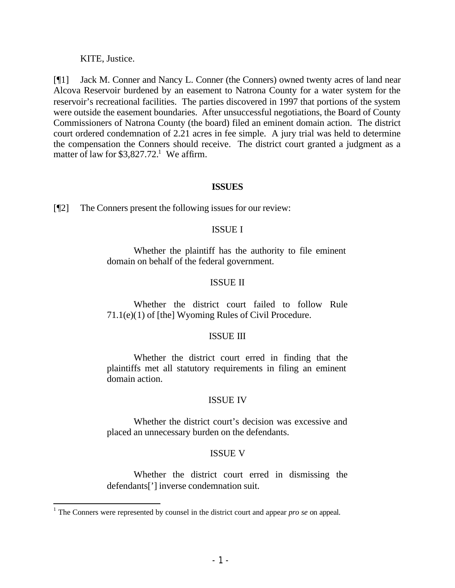KITE, Justice.

[¶1] Jack M. Conner and Nancy L. Conner (the Conners) owned twenty acres of land near Alcova Reservoir burdened by an easement to Natrona County for a water system for the reservoir's recreational facilities. The parties discovered in 1997 that portions of the system were outside the easement boundaries. After unsuccessful negotiations, the Board of County Commissioners of Natrona County (the board) filed an eminent domain action. The district court ordered condemnation of 2.21 acres in fee simple. A jury trial was held to determine the compensation the Conners should receive. The district court granted a judgment as a matter of law for  $$3,827.72$ <sup>1</sup> We affirm.

### **ISSUES**

[¶2] The Conners present the following issues for our review:

### ISSUE I

Whether the plaintiff has the authority to file eminent domain on behalf of the federal government.

## ISSUE II

Whether the district court failed to follow Rule 71.1(e)(1) of [the] Wyoming Rules of Civil Procedure.

#### ISSUE III

Whether the district court erred in finding that the plaintiffs met all statutory requirements in filing an eminent domain action.

## ISSUE IV

Whether the district court's decision was excessive and placed an unnecessary burden on the defendants.

## ISSUE V

Whether the district court erred in dismissing the defendants['] inverse condemnation suit.

<sup>&</sup>lt;sup>1</sup> The Conners were represented by counsel in the district court and appear *pro se* on appeal.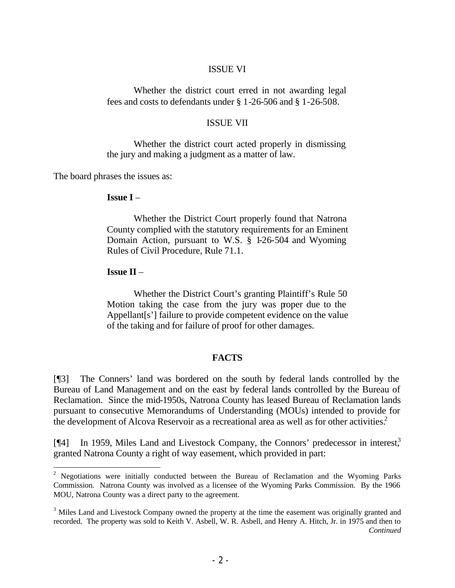#### ISSUE VI

Whether the district court erred in not awarding legal fees and costs to defendants under § 1-26-506 and § 1-26-508.

#### ISSUE VII

Whether the district court acted properly in dismissing the jury and making a judgment as a matter of law.

The board phrases the issues as:

### **Issue I** –

Whether the District Court properly found that Natrona County complied with the statutory requirements for an Eminent Domain Action, pursuant to W.S. § 1-26-504 and Wyoming Rules of Civil Procedure, Rule 71.1.

#### **Issue II** –

Whether the District Court's granting Plaintiff's Rule 50 Motion taking the case from the jury was proper due to the Appellant[s'] failure to provide competent evidence on the value of the taking and for failure of proof for other damages.

#### **FACTS**

[¶3] The Conners' land was bordered on the south by federal lands controlled by the Bureau of Land Management and on the east by federal lands controlled by the Bureau of Reclamation. Since the mid-1950s, Natrona County has leased Bureau of Reclamation lands pursuant to consecutive Memorandums of Understanding (MOUs) intended to provide for the development of Alcova Reservoir as a recreational area as well as for other activities.<sup>2</sup>

[¶4] In 1959, Miles Land and Livestock Company, the Connors' predecessor in interest,<sup>3</sup> granted Natrona County a right of way easement, which provided in part:

<sup>&</sup>lt;sup>2</sup> Negotiations were initially conducted between the Bureau of Reclamation and the Wyoming Parks Commission. Natrona County was involved as a licensee of the Wyoming Parks Commission. By the 1966 MOU, Natrona County was a direct party to the agreement.

<sup>&</sup>lt;sup>3</sup> Miles Land and Livestock Company owned the property at the time the easement was originally granted and recorded. The property was sold to Keith V. Asbell, W. R. Asbell, and Henry A. Hitch, Jr. in 1975 and then to *Continued*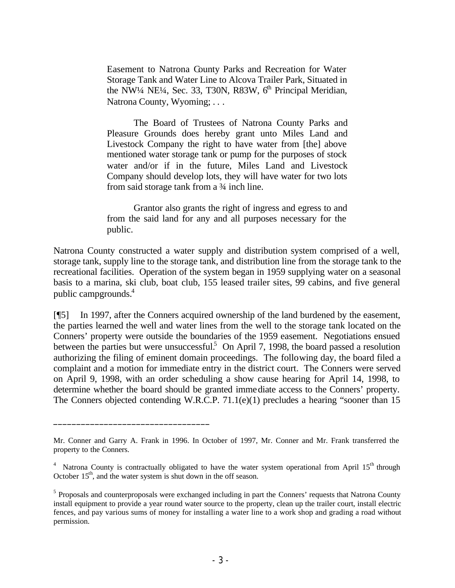Easement to Natrona County Parks and Recreation for Water Storage Tank and Water Line to Alcova Trailer Park, Situated in the NW<sup>1</sup>/4 NE<sup>1</sup>/4, Sec. 33, T30N, R83W,  $6<sup>th</sup>$  Principal Meridian, Natrona County, Wyoming; ...

The Board of Trustees of Natrona County Parks and Pleasure Grounds does hereby grant unto Miles Land and Livestock Company the right to have water from [the] above mentioned water storage tank or pump for the purposes of stock water and/or if in the future, Miles Land and Livestock Company should develop lots, they will have water for two lots from said storage tank from a  $\frac{3}{4}$  inch line.

Grantor also grants the right of ingress and egress to and from the said land for any and all purposes necessary for the public.

Natrona County constructed a water supply and distribution system comprised of a well, storage tank, supply line to the storage tank, and distribution line from the storage tank to the recreational facilities. Operation of the system began in 1959 supplying water on a seasonal basis to a marina, ski club, boat club, 155 leased trailer sites, 99 cabins, and five general public campgrounds.<sup>4</sup>

[¶5] In 1997, after the Conners acquired ownership of the land burdened by the easement, the parties learned the well and water lines from the well to the storage tank located on the Conners' property were outside the boundaries of the 1959 easement. Negotiations ensued between the parties but were unsuccessful.<sup>5</sup> On April 7, 1998, the board passed a resolution authorizing the filing of eminent domain proceedings. The following day, the board filed a complaint and a motion for immediate entry in the district court. The Conners were served on April 9, 1998, with an order scheduling a show cause hearing for April 14, 1998, to determine whether the board should be granted immediate access to the Conners' property. The Conners objected contending W.R.C.P. 71.1(e)(1) precludes a hearing "sooner than 15

 $\frac{1}{2}$  , and the set of the set of the set of the set of the set of the set of the set of the set of the set of the set of the set of the set of the set of the set of the set of the set of the set of the set of the set

Mr. Conner and Garry A. Frank in 1996. In October of 1997, Mr. Conner and Mr. Frank transferred the property to the Conners.

<sup>4</sup> Natrona County is contractually obligated to have the water system operational from April  $15<sup>th</sup>$  through October  $15<sup>th</sup>$ , and the water system is shut down in the off season.

<sup>&</sup>lt;sup>5</sup> Proposals and counterproposals were exchanged including in part the Conners' requests that Natrona County install equipment to provide a year round water source to the property, clean up the trailer court, install electric fences, and pay various sums of money for installing a water line to a work shop and grading a road without permission.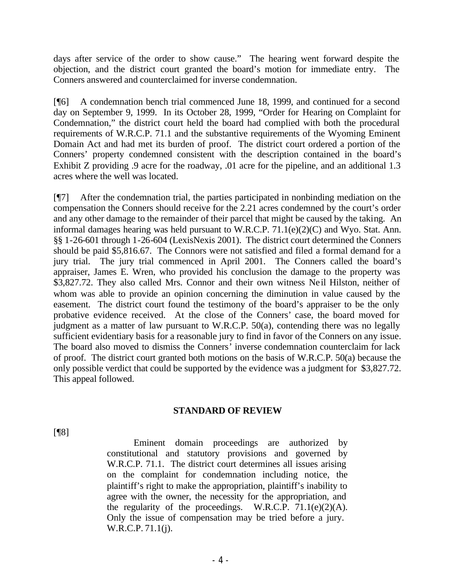days after service of the order to show cause." The hearing went forward despite the objection, and the district court granted the board's motion for immediate entry. The Conners answered and counterclaimed for inverse condemnation.

[¶6] A condemnation bench trial commenced June 18, 1999, and continued for a second day on September 9, 1999. In its October 28, 1999, "Order for Hearing on Complaint for Condemnation," the district court held the board had complied with both the procedural requirements of W.R.C.P. 71.1 and the substantive requirements of the Wyoming Eminent Domain Act and had met its burden of proof. The district court ordered a portion of the Conners' property condemned consistent with the description contained in the board's Exhibit Z providing .9 acre for the roadway, .01 acre for the pipeline, and an additional 1.3 acres where the well was located.

[¶7] After the condemnation trial, the parties participated in nonbinding mediation on the compensation the Conners should receive for the 2.21 acres condemned by the court's order and any other damage to the remainder of their parcel that might be caused by the taking. An informal damages hearing was held pursuant to W.R.C.P. 71.1(e)(2)(C) and Wyo. Stat. Ann. §§ 1-26-601 through 1-26-604 (LexisNexis 2001). The district court determined the Conners should be paid \$5,816.67. The Connors were not satisfied and filed a formal demand for a jury trial. The jury trial commenced in April 2001. The Conners called the board's appraiser, James E. Wren, who provided his conclusion the damage to the property was \$3,827.72. They also called Mrs. Connor and their own witness Neil Hilston, neither of whom was able to provide an opinion concerning the diminution in value caused by the easement. The district court found the testimony of the board's appraiser to be the only probative evidence received. At the close of the Conners' case, the board moved for judgment as a matter of law pursuant to W.R.C.P. 50(a), contending there was no legally sufficient evidentiary basis for a reasonable jury to find in favor of the Conners on any issue. The board also moved to dismiss the Conners' inverse condemnation counterclaim for lack of proof. The district court granted both motions on the basis of W.R.C.P. 50(a) because the only possible verdict that could be supported by the evidence was a judgment for \$3,827.72. This appeal followed.

#### **STANDARD OF REVIEW**

[¶8]

Eminent domain proceedings are authorized by constitutional and statutory provisions and governed by W.R.C.P. 71.1. The district court determines all issues arising on the complaint for condemnation including notice, the plaintiff's right to make the appropriation, plaintiff's inability to agree with the owner, the necessity for the appropriation, and the regularity of the proceedings. W.R.C.P.  $71.1(e)(2)(A)$ . Only the issue of compensation may be tried before a jury. W.R.C.P. 71.1(j).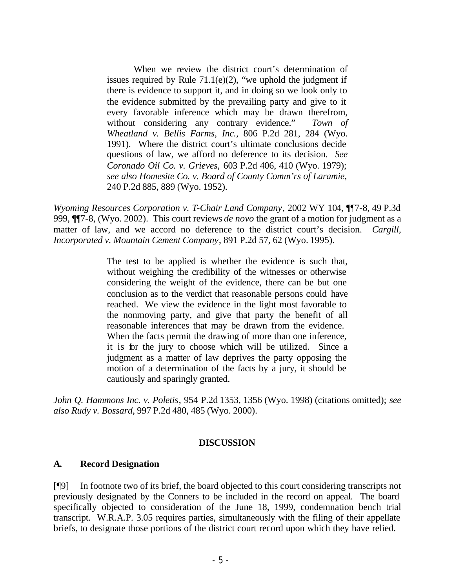When we review the district court's determination of issues required by Rule  $71.1(e)(2)$ , "we uphold the judgment if there is evidence to support it, and in doing so we look only to the evidence submitted by the prevailing party and give to it every favorable inference which may be drawn therefrom, without considering any contrary evidence." *Town of Wheatland v. Bellis Farms, Inc.,* 806 P.2d 281, 284 (Wyo. 1991). Where the district court's ultimate conclusions decide questions of law, we afford no deference to its decision. *See Coronado Oil Co. v. Grieves,* 603 P.2d 406, 410 (Wyo. 1979); *see also Homesite Co. v. Board of County Comm'rs of Laramie,*  240 P.2d 885, 889 (Wyo. 1952).

*Wyoming Resources Corporation v. T-Chair Land Company*, 2002 WY 104, ¶¶7-8, 49 P.3d 999, ¶¶7-8, (Wyo. 2002). This court reviews *de novo* the grant of a motion for judgment as a matter of law, and we accord no deference to the district court's decision. *Cargill, Incorporated v. Mountain Cement Company*, 891 P.2d 57, 62 (Wyo. 1995).

> The test to be applied is whether the evidence is such that, without weighing the credibility of the witnesses or otherwise considering the weight of the evidence, there can be but one conclusion as to the verdict that reasonable persons could have reached. We view the evidence in the light most favorable to the nonmoving party, and give that party the benefit of all reasonable inferences that may be drawn from the evidence. When the facts permit the drawing of more than one inference, it is for the jury to choose which will be utilized. Since a judgment as a matter of law deprives the party opposing the motion of a determination of the facts by a jury, it should be cautiously and sparingly granted.

*John Q. Hammons Inc. v. Poletis*, 954 P.2d 1353, 1356 (Wyo. 1998) (citations omitted); *see also Rudy v. Bossard*, 997 P.2d 480, 485 (Wyo. 2000).

## **DISCUSSION**

## **A. Record Designation**

[¶9] In footnote two of its brief, the board objected to this court considering transcripts not previously designated by the Conners to be included in the record on appeal. The board specifically objected to consideration of the June 18, 1999, condemnation bench trial transcript. W.R.A.P. 3.05 requires parties, simultaneously with the filing of their appellate briefs, to designate those portions of the district court record upon which they have relied.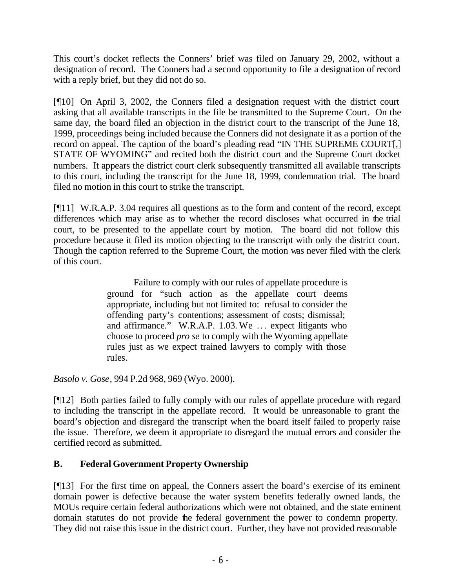This court's docket reflects the Conners' brief was filed on January 29, 2002, without a designation of record. The Conners had a second opportunity to file a designation of record with a reply brief, but they did not do so.

[¶10] On April 3, 2002, the Conners filed a designation request with the district court asking that all available transcripts in the file be transmitted to the Supreme Court. On the same day, the board filed an objection in the district court to the transcript of the June 18, 1999, proceedings being included because the Conners did not designate it as a portion of the record on appeal. The caption of the board's pleading read "IN THE SUPREME COURT[,] STATE OF WYOMING" and recited both the district court and the Supreme Court docket numbers. It appears the district court clerk subsequently transmitted all available transcripts to this court, including the transcript for the June 18, 1999, condemnation trial. The board filed no motion in this court to strike the transcript.

[¶11] W.R.A.P. 3.04 requires all questions as to the form and content of the record, except differences which may arise as to whether the record discloses what occurred in the trial court, to be presented to the appellate court by motion. The board did not follow this procedure because it filed its motion objecting to the transcript with only the district court. Though the caption referred to the Supreme Court, the motion was never filed with the clerk of this court.

> Failure to comply with our rules of appellate procedure is ground for "such action as the appellate court deems appropriate, including but not limited to: refusal to consider the offending party's contentions; assessment of costs; dismissal; and affirmance." W.R.A.P. 1.03. We .. . expect litigants who choose to proceed *pro se* to comply with the Wyoming appellate rules just as we expect trained lawyers to comply with those rules.

*Basolo v. Gose*, 994 P.2d 968, 969 (Wyo. 2000).

[¶12] Both parties failed to fully comply with our rules of appellate procedure with regard to including the transcript in the appellate record. It would be unreasonable to grant the board's objection and disregard the transcript when the board itself failed to properly raise the issue. Therefore, we deem it appropriate to disregard the mutual errors and consider the certified record as submitted.

# **B. Federal Government Property Ownership**

[¶13] For the first time on appeal, the Conners assert the board's exercise of its eminent domain power is defective because the water system benefits federally owned lands, the MOUs require certain federal authorizations which were not obtained, and the state eminent domain statutes do not provide the federal government the power to condemn property. They did not raise this issue in the district court. Further, they have not provided reasonable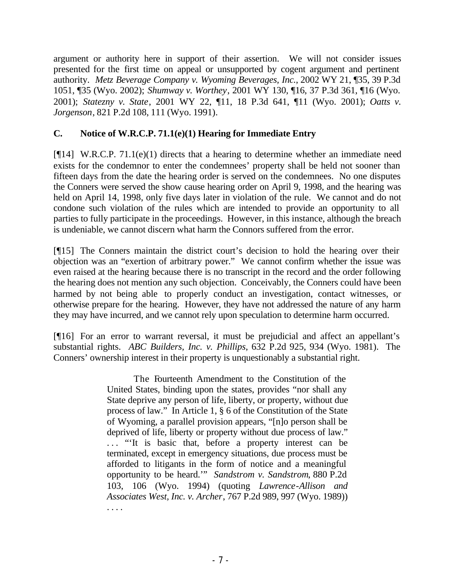argument or authority here in support of their assertion. We will not consider issues presented for the first time on appeal or unsupported by cogent argument and pertinent authority. *Metz Beverage Company v. Wyoming Beverages, Inc.*, 2002 WY 21, ¶35, 39 P.3d 1051, ¶35 (Wyo. 2002); *Shumway v. Worthey*, 2001 WY 130, ¶16, 37 P.3d 361, ¶16 (Wyo. 2001); *Statezny v. State*, 2001 WY 22, ¶11, 18 P.3d 641, ¶11 (Wyo. 2001); *Oatts v. Jorgenson*, 821 P.2d 108, 111 (Wyo. 1991).

## **C. Notice of W.R.C.P. 71.1(e)(1) Hearing for Immediate Entry**

[¶14] W.R.C.P. 71.1(e)(1) directs that a hearing to determine whether an immediate need exists for the condemnor to enter the condemnees' property shall be held not sooner than fifteen days from the date the hearing order is served on the condemnees. No one disputes the Conners were served the show cause hearing order on April 9, 1998, and the hearing was held on April 14, 1998, only five days later in violation of the rule. We cannot and do not condone such violation of the rules which are intended to provide an opportunity to all parties to fully participate in the proceedings. However, in this instance, although the breach is undeniable, we cannot discern what harm the Connors suffered from the error.

[¶15] The Conners maintain the district court's decision to hold the hearing over their objection was an "exertion of arbitrary power." We cannot confirm whether the issue was even raised at the hearing because there is no transcript in the record and the order following the hearing does not mention any such objection. Conceivably, the Conners could have been harmed by not being able to properly conduct an investigation, contact witnesses, or otherwise prepare for the hearing. However, they have not addressed the nature of any harm they may have incurred, and we cannot rely upon speculation to determine harm occurred.

[¶16] For an error to warrant reversal, it must be prejudicial and affect an appellant's substantial rights. *ABC Builders, Inc. v. Phillips*, 632 P.2d 925, 934 (Wyo. 1981). The Conners' ownership interest in their property is unquestionably a substantial right.

> The Fourteenth Amendment to the Constitution of the United States, binding upon the states, provides "nor shall any State deprive any person of life, liberty, or property, without due process of law." In Article 1, § 6 of the Constitution of the State of Wyoming, a parallel provision appears, "[n]o person shall be deprived of life, liberty or property without due process of law." ... "It is basic that, before a property interest can be terminated, except in emergency situations, due process must be afforded to litigants in the form of notice and a meaningful opportunity to be heard.'" *Sandstrom v. Sandstrom*, 880 P.2d 103, 106 (Wyo. 1994) (quoting *Lawrence-Allison and Associates West, Inc. v. Archer*, 767 P.2d 989, 997 (Wyo. 1989)) . . . .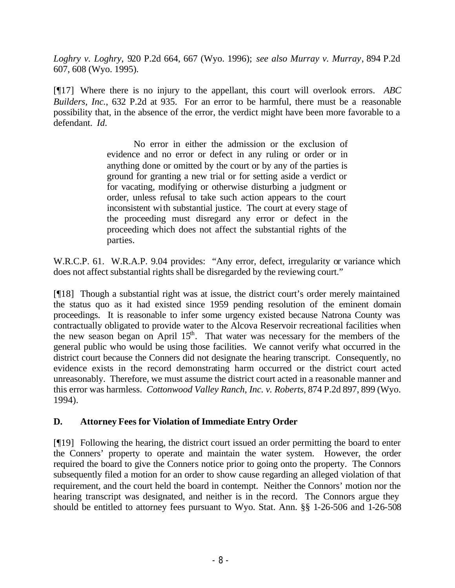*Loghry v. Loghry*, 920 P.2d 664, 667 (Wyo. 1996); *see also Murray v. Murray*, 894 P.2d 607, 608 (Wyo. 1995).

[¶17] Where there is no injury to the appellant, this court will overlook errors. *ABC Builders, Inc.*, 632 P.2d at 935. For an error to be harmful, there must be a reasonable possibility that, in the absence of the error, the verdict might have been more favorable to a defendant. *Id.*

> No error in either the admission or the exclusion of evidence and no error or defect in any ruling or order or in anything done or omitted by the court or by any of the parties is ground for granting a new trial or for setting aside a verdict or for vacating, modifying or otherwise disturbing a judgment or order, unless refusal to take such action appears to the court inconsistent with substantial justice. The court at every stage of the proceeding must disregard any error or defect in the proceeding which does not affect the substantial rights of the parties.

W.R.C.P. 61. W.R.A.P. 9.04 provides: "Any error, defect, irregularity or variance which does not affect substantial rights shall be disregarded by the reviewing court."

[¶18] Though a substantial right was at issue, the district court's order merely maintained the status quo as it had existed since 1959 pending resolution of the eminent domain proceedings. It is reasonable to infer some urgency existed because Natrona County was contractually obligated to provide water to the Alcova Reservoir recreational facilities when the new season began on April  $15<sup>th</sup>$ . That water was necessary for the members of the general public who would be using those facilities. We cannot verify what occurred in the district court because the Conners did not designate the hearing transcript. Consequently, no evidence exists in the record demonstrating harm occurred or the district court acted unreasonably. Therefore, we must assume the district court acted in a reasonable manner and this error was harmless. *Cottonwood Valley Ranch, Inc. v. Roberts*, 874 P.2d 897, 899 (Wyo. 1994).

## **D. Attorney Fees for Violation of Immediate Entry Order**

[¶19] Following the hearing, the district court issued an order permitting the board to enter the Conners' property to operate and maintain the water system. However, the order required the board to give the Conners notice prior to going onto the property. The Connors subsequently filed a motion for an order to show cause regarding an alleged violation of that requirement, and the court held the board in contempt. Neither the Connors' motion nor the hearing transcript was designated, and neither is in the record. The Connors argue they should be entitled to attorney fees pursuant to Wyo. Stat. Ann. §§ 1-26-506 and 1-26-508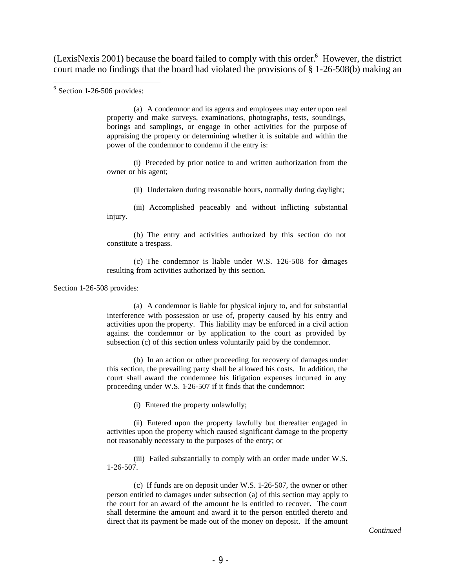(LexisNexis 2001) because the board failed to comply with this order.<sup>6</sup> However, the district court made no findings that the board had violated the provisions of § 1-26-508(b) making an

(a) A condemnor and its agents and employees may enter upon real property and make surveys, examinations, photographs, tests, soundings, borings and samplings, or engage in other activities for the purpose of appraising the property or determining whether it is suitable and within the power of the condemnor to condemn if the entry is:

(i) Preceded by prior notice to and written authorization from the owner or his agent;

(ii) Undertaken during reasonable hours, normally during daylight;

(iii) Accomplished peaceably and without inflicting substantial injury.

(b) The entry and activities authorized by this section do not constitute a trespass.

(c) The condemnor is liable under W.S. 1-26-508 for damages resulting from activities authorized by this section.

Section 1-26-508 provides:

(a) A condemnor is liable for physical injury to, and for substantial interference with possession or use of, property caused by his entry and activities upon the property. This liability may be enforced in a civil action against the condemnor or by application to the court as provided by subsection (c) of this section unless voluntarily paid by the condemnor.

(b) In an action or other proceeding for recovery of damages under this section, the prevailing party shall be allowed his costs. In addition, the court shall award the condemnee his litigation expenses incurred in any proceeding under W.S. 1-26-507 if it finds that the condemnor:

(i) Entered the property unlawfully;

(ii) Entered upon the property lawfully but thereafter engaged in activities upon the property which caused significant damage to the property not reasonably necessary to the purposes of the entry; or

(iii) Failed substantially to comply with an order made under W.S. 1-26-507.

(c) If funds are on deposit under W.S. 1-26-507, the owner or other person entitled to damages under subsection (a) of this section may apply to the court for an award of the amount he is entitled to recover. The court shall determine the amount and award it to the person entitled thereto and direct that its payment be made out of the money on deposit. If the amount

 $6$  Section 1-26-506 provides: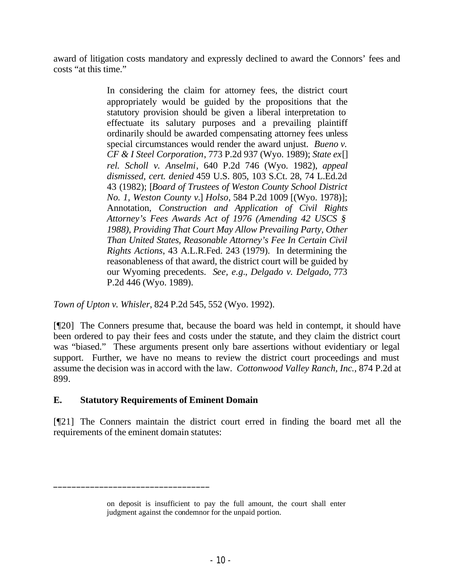award of litigation costs mandatory and expressly declined to award the Connors' fees and costs "at this time."

> In considering the claim for attorney fees, the district court appropriately would be guided by the propositions that the statutory provision should be given a liberal interpretation to effectuate its salutary purposes and a prevailing plaintiff ordinarily should be awarded compensating attorney fees unless special circumstances would render the award unjust. *Bueno v. CF & I Steel Corporation*, 773 P.2d 937 (Wyo. 1989); *State ex*[] *rel. Scholl v. Anselmi*, 640 P.2d 746 (Wyo. 1982), *appeal dismissed, cert. denied* 459 U.S. 805, 103 S.Ct. 28, 74 L.Ed.2d 43 (1982); [*Board of Trustees of Weston County School District No. 1, Weston County v.*] *Holso*, 584 P.2d 1009 [(Wyo. 1978)]; Annotation, *Construction and Application of Civil Rights Attorney's Fees Awards Act of 1976 (Amending 42 USCS § 1988), Providing That Court May Allow Prevailing Party, Other Than United States, Reasonable Attorney's Fee In Certain Civil Rights Actions*, 43 A.L.R.Fed. 243 (1979). In determining the reasonableness of that award, the district court will be guided by our Wyoming precedents. *See, e.g.*, *Delgado v. Delgado*, 773 P.2d 446 (Wyo. 1989).

*Town of Upton v. Whisler*, 824 P.2d 545, 552 (Wyo. 1992).

[¶20] The Conners presume that, because the board was held in contempt, it should have been ordered to pay their fees and costs under the statute, and they claim the district court was "biased." These arguments present only bare assertions without evidentiary or legal support. Further, we have no means to review the district court proceedings and must assume the decision was in accord with the law. *Cottonwood Valley Ranch, Inc.*, 874 P.2d at 899.

## **E. Statutory Requirements of Eminent Domain**

 $\frac{1}{2}$  , and the set of the set of the set of the set of the set of the set of the set of the set of the set of the set of the set of the set of the set of the set of the set of the set of the set of the set of the set

[¶21] The Conners maintain the district court erred in finding the board met all the requirements of the eminent domain statutes:

on deposit is insufficient to pay the full amount, the court shall enter judgment against the condemnor for the unpaid portion.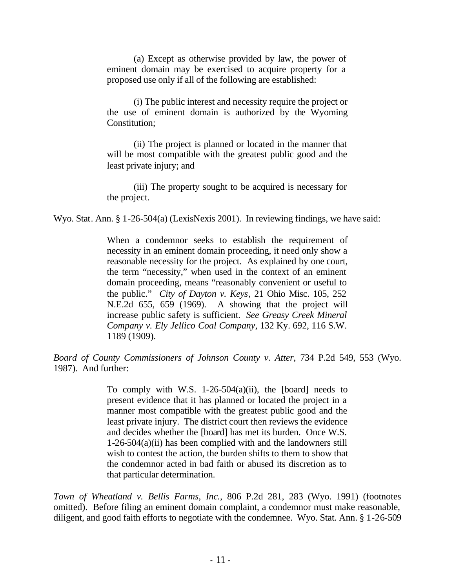(a) Except as otherwise provided by law, the power of eminent domain may be exercised to acquire property for a proposed use only if all of the following are established:

(i) The public interest and necessity require the project or the use of eminent domain is authorized by the Wyoming Constitution;

(ii) The project is planned or located in the manner that will be most compatible with the greatest public good and the least private injury; and

(iii) The property sought to be acquired is necessary for the project.

Wyo. Stat. Ann. § 1-26-504(a) (LexisNexis 2001). In reviewing findings, we have said:

When a condemnor seeks to establish the requirement of necessity in an eminent domain proceeding, it need only show a reasonable necessity for the project. As explained by one court, the term "necessity," when used in the context of an eminent domain proceeding, means "reasonably convenient or useful to the public." *City of Dayton v. Keys*, 21 Ohio Misc. 105, 252 N.E.2d 655, 659 (1969). A showing that the project will increase public safety is sufficient. *See Greasy Creek Mineral Company v. Ely Jellico Coal Company*, 132 Ky. 692, 116 S.W. 1189 (1909).

*Board of County Commissioners of Johnson County v. Atter*, 734 P.2d 549, 553 (Wyo. 1987). And further:

> To comply with W.S. 1-26-504 $(a)(ii)$ , the [board] needs to present evidence that it has planned or located the project in a manner most compatible with the greatest public good and the least private injury. The district court then reviews the evidence and decides whether the [board] has met its burden. Once W.S. 1-26-504(a)(ii) has been complied with and the landowners still wish to contest the action, the burden shifts to them to show that the condemnor acted in bad faith or abused its discretion as to that particular determination.

*Town of Wheatland v. Bellis Farms, Inc.*, 806 P.2d 281, 283 (Wyo. 1991) (footnotes omitted). Before filing an eminent domain complaint, a condemnor must make reasonable, diligent, and good faith efforts to negotiate with the condemnee. Wyo. Stat. Ann. § 1-26-509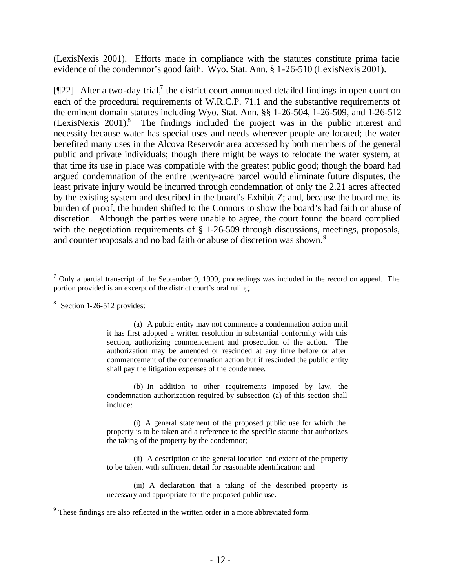(LexisNexis 2001). Efforts made in compliance with the statutes constitute prima facie evidence of the condemnor's good faith. Wyo. Stat. Ann. § 1-26-510 (LexisNexis 2001).

[ $[22]$  After a two-day trial,<sup>7</sup> the district court announced detailed findings in open court on each of the procedural requirements of W.R.C.P. 71.1 and the substantive requirements of the eminent domain statutes including Wyo. Stat. Ann. §§ 1-26-504, 1-26-509, and 1-26-512 (LexisNexis 2001).<sup>8</sup> The findings included the project was in the public interest and necessity because water has special uses and needs wherever people are located; the water benefited many uses in the Alcova Reservoir area accessed by both members of the general public and private individuals; though there might be ways to relocate the water system, at that time its use in place was compatible with the greatest public good; though the board had argued condemnation of the entire twenty-acre parcel would eliminate future disputes, the least private injury would be incurred through condemnation of only the 2.21 acres affected by the existing system and described in the board's Exhibit Z; and, because the board met its burden of proof, the burden shifted to the Connors to show the board's bad faith or abuse of discretion. Although the parties were unable to agree, the court found the board complied with the negotiation requirements of § 1-26-509 through discussions, meetings, proposals, and counterproposals and no bad faith or abuse of discretion was shown.<sup>9</sup>

<sup>8</sup> Section 1-26-512 provides:

(a) A public entity may not commence a condemnation action until it has first adopted a written resolution in substantial conformity with this section, authorizing commencement and prosecution of the action. The authorization may be amended or rescinded at any time before or after commencement of the condemnation action but if rescinded the public entity shall pay the litigation expenses of the condemnee.

(b) In addition to other requirements imposed by law, the condemnation authorization required by subsection (a) of this section shall include:

(i) A general statement of the proposed public use for which the property is to be taken and a reference to the specific statute that authorizes the taking of the property by the condemnor;

(ii) A description of the general location and extent of the property to be taken, with sufficient detail for reasonable identification; and

(iii) A declaration that a taking of the described property is necessary and appropriate for the proposed public use.

<sup>9</sup> These findings are also reflected in the written order in a more abbreviated form.

  $<sup>7</sup>$  Only a partial transcript of the September 9, 1999, proceedings was included in the record on appeal. The</sup> portion provided is an excerpt of the district court's oral ruling.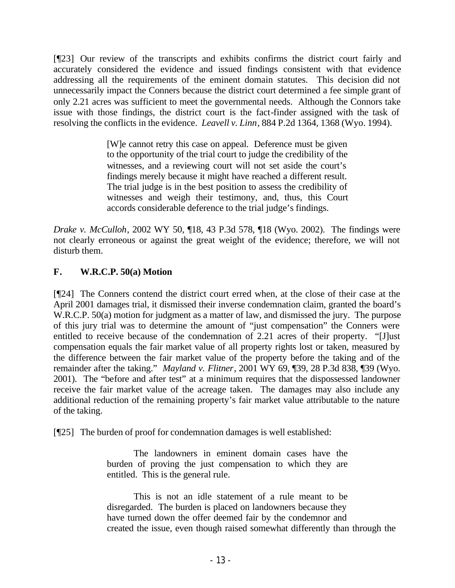[¶23] Our review of the transcripts and exhibits confirms the district court fairly and accurately considered the evidence and issued findings consistent with that evidence addressing all the requirements of the eminent domain statutes. This decision did not unnecessarily impact the Conners because the district court determined a fee simple grant of only 2.21 acres was sufficient to meet the governmental needs. Although the Connors take issue with those findings, the district court is the fact-finder assigned with the task of resolving the conflicts in the evidence. *Leavell v. Linn*, 884 P.2d 1364, 1368 (Wyo. 1994).

> [W]e cannot retry this case on appeal. Deference must be given to the opportunity of the trial court to judge the credibility of the witnesses, and a reviewing court will not set aside the court's findings merely because it might have reached a different result. The trial judge is in the best position to assess the credibility of witnesses and weigh their testimony, and, thus, this Court accords considerable deference to the trial judge's findings.

*Drake v. McCulloh*, 2002 WY 50, ¶18, 43 P.3d 578, ¶18 (Wyo. 2002). The findings were not clearly erroneous or against the great weight of the evidence; therefore, we will not disturb them.

## **F. W.R.C.P. 50(a) Motion**

[¶24] The Conners contend the district court erred when, at the close of their case at the April 2001 damages trial, it dismissed their inverse condemnation claim, granted the board's W.R.C.P. 50(a) motion for judgment as a matter of law, and dismissed the jury. The purpose of this jury trial was to determine the amount of "just compensation" the Conners were entitled to receive because of the condemnation of 2.21 acres of their property. "[J]ust compensation equals the fair market value of all property rights lost or taken, measured by the difference between the fair market value of the property before the taking and of the remainder after the taking." *Mayland v. Flitner*, 2001 WY 69, ¶39, 28 P.3d 838, ¶39 (Wyo. 2001). The "before and after test" at a minimum requires that the dispossessed landowner receive the fair market value of the acreage taken. The damages may also include any additional reduction of the remaining property's fair market value attributable to the nature of the taking.

[¶25] The burden of proof for condemnation damages is well established:

The landowners in eminent domain cases have the burden of proving the just compensation to which they are entitled. This is the general rule.

This is not an idle statement of a rule meant to be disregarded. The burden is placed on landowners because they have turned down the offer deemed fair by the condemnor and created the issue, even though raised somewhat differently than through the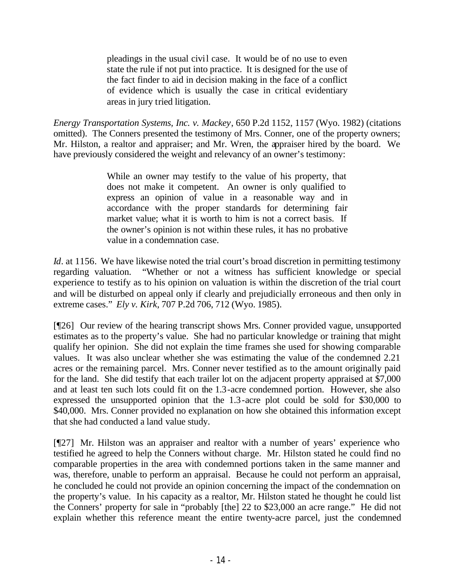pleadings in the usual civil case. It would be of no use to even state the rule if not put into practice. It is designed for the use of the fact finder to aid in decision making in the face of a conflict of evidence which is usually the case in critical evidentiary areas in jury tried litigation.

*Energy Transportation Systems, Inc. v. Mackey*, 650 P.2d 1152, 1157 (Wyo. 1982) (citations omitted). The Conners presented the testimony of Mrs. Conner, one of the property owners; Mr. Hilston, a realtor and appraiser; and Mr. Wren, the appraiser hired by the board. We have previously considered the weight and relevancy of an owner's testimony:

> While an owner may testify to the value of his property, that does not make it competent. An owner is only qualified to express an opinion of value in a reasonable way and in accordance with the proper standards for determining fair market value; what it is worth to him is not a correct basis. If the owner's opinion is not within these rules, it has no probative value in a condemnation case.

*Id.* at 1156. We have likewise noted the trial court's broad discretion in permitting testimony regarding valuation. "Whether or not a witness has sufficient knowledge or special experience to testify as to his opinion on valuation is within the discretion of the trial court and will be disturbed on appeal only if clearly and prejudicially erroneous and then only in extreme cases." *Ely v. Kirk*, 707 P.2d 706, 712 (Wyo. 1985).

[¶26] Our review of the hearing transcript shows Mrs. Conner provided vague, unsupported estimates as to the property's value. She had no particular knowledge or training that might qualify her opinion. She did not explain the time frames she used for showing comparable values. It was also unclear whether she was estimating the value of the condemned 2.21 acres or the remaining parcel. Mrs. Conner never testified as to the amount originally paid for the land. She did testify that each trailer lot on the adjacent property appraised at \$7,000 and at least ten such lots could fit on the 1.3-acre condemned portion. However, she also expressed the unsupported opinion that the 1.3-acre plot could be sold for \$30,000 to \$40,000. Mrs. Conner provided no explanation on how she obtained this information except that she had conducted a land value study.

[¶27] Mr. Hilston was an appraiser and realtor with a number of years' experience who testified he agreed to help the Conners without charge. Mr. Hilston stated he could find no comparable properties in the area with condemned portions taken in the same manner and was, therefore, unable to perform an appraisal. Because he could not perform an appraisal, he concluded he could not provide an opinion concerning the impact of the condemnation on the property's value. In his capacity as a realtor, Mr. Hilston stated he thought he could list the Conners' property for sale in "probably [the] 22 to \$23,000 an acre range." He did not explain whether this reference meant the entire twenty-acre parcel, just the condemned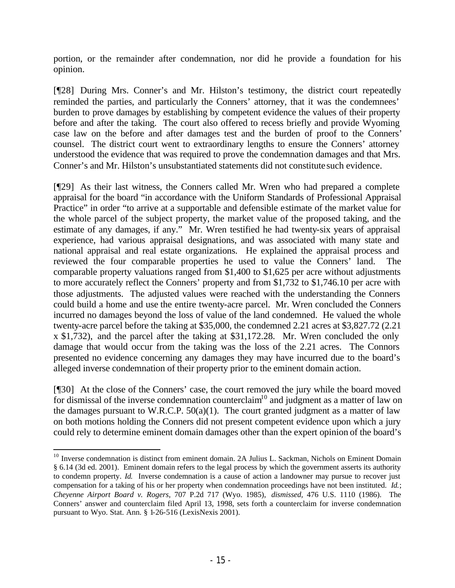portion, or the remainder after condemnation, nor did he provide a foundation for his opinion.

[¶28] During Mrs. Conner's and Mr. Hilston's testimony, the district court repeatedly reminded the parties, and particularly the Conners' attorney, that it was the condemnees' burden to prove damages by establishing by competent evidence the values of their property before and after the taking. The court also offered to recess briefly and provide Wyoming case law on the before and after damages test and the burden of proof to the Conners' counsel. The district court went to extraordinary lengths to ensure the Conners' attorney understood the evidence that was required to prove the condemnation damages and that Mrs. Conner's and Mr. Hilston's unsubstantiated statements did not constitute such evidence.

[¶29] As their last witness, the Conners called Mr. Wren who had prepared a complete appraisal for the board "in accordance with the Uniform Standards of Professional Appraisal Practice" in order "to arrive at a supportable and defensible estimate of the market value for the whole parcel of the subject property, the market value of the proposed taking, and the estimate of any damages, if any." Mr. Wren testified he had twenty-six years of appraisal experience, had various appraisal designations, and was associated with many state and national appraisal and real estate organizations. He explained the appraisal process and reviewed the four comparable properties he used to value the Conners' land. The comparable property valuations ranged from \$1,400 to \$1,625 per acre without adjustments to more accurately reflect the Conners' property and from \$1,732 to \$1,746.10 per acre with those adjustments. The adjusted values were reached with the understanding the Conners could build a home and use the entire twenty-acre parcel. Mr. Wren concluded the Conners incurred no damages beyond the loss of value of the land condemned. He valued the whole twenty-acre parcel before the taking at \$35,000, the condemned 2.21 acres at \$3,827.72 (2.21 x \$1,732), and the parcel after the taking at \$31,172.28. Mr. Wren concluded the only damage that would occur from the taking was the loss of the 2.21 acres. The Connors presented no evidence concerning any damages they may have incurred due to the board's alleged inverse condemnation of their property prior to the eminent domain action.

[¶30] At the close of the Conners' case, the court removed the jury while the board moved for dismissal of the inverse condemnation counterclaim<sup>10</sup> and judgment as a matter of law on the damages pursuant to W.R.C.P.  $50(a)(1)$ . The court granted judgment as a matter of law on both motions holding the Conners did not present competent evidence upon which a jury could rely to determine eminent domain damages other than the expert opinion of the board's

<sup>&</sup>lt;sup>10</sup> Inverse condemnation is distinct from eminent domain. 2A Julius L. Sackman, Nichols on Eminent Domain § 6.14 (3d ed. 2001). Eminent domain refers to the legal process by which the government asserts its authority to condemn property. *Id.* Inverse condemnation is a cause of action a landowner may pursue to recover just compensation for a taking of his or her property when condemnation proceedings have not been instituted. *Id.*; *Cheyenne Airport Board v. Rogers*, 707 P.2d 717 (Wyo. 1985), *dismissed,* 476 U.S. 1110 (1986). The Conners' answer and counterclaim filed April 13, 1998, sets forth a counterclaim for inverse condemnation pursuant to Wyo. Stat. Ann. § 1-26-516 (LexisNexis 2001).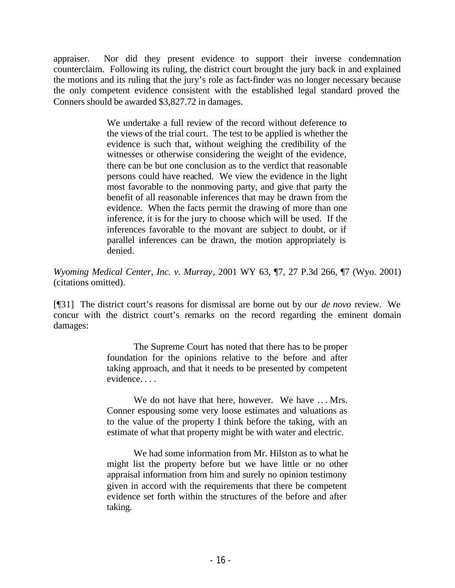appraiser. Nor did they present evidence to support their inverse condemnation counterclaim. Following its ruling, the district court brought the jury back in and explained the motions and its ruling that the jury's role as fact-finder was no longer necessary because the only competent evidence consistent with the established legal standard proved the Conners should be awarded \$3,827.72 in damages.

> We undertake a full review of the record without deference to the views of the trial court. The test to be applied is whether the evidence is such that, without weighing the credibility of the witnesses or otherwise considering the weight of the evidence, there can be but one conclusion as to the verdict that reasonable persons could have reached. We view the evidence in the light most favorable to the nonmoving party, and give that party the benefit of all reasonable inferences that may be drawn from the evidence. When the facts permit the drawing of more than one inference, it is for the jury to choose which will be used. If the inferences favorable to the movant are subject to doubt, or if parallel inferences can be drawn, the motion appropriately is denied.

*Wyoming Medical Center, Inc. v. Murray*, 2001 WY 63, ¶7, 27 P.3d 266, ¶7 (Wyo. 2001) (citations omitted).

[¶31] The district court's reasons for dismissal are borne out by our *de novo* review. We concur with the district court's remarks on the record regarding the eminent domain damages:

> The Supreme Court has noted that there has to be proper foundation for the opinions relative to the before and after taking approach, and that it needs to be presented by competent evidence. . . .

> We do not have that here, however. We have ... Mrs. Conner espousing some very loose estimates and valuations as to the value of the property I think before the taking, with an estimate of what that property might be with water and electric.

> We had some information from Mr. Hilston as to what he might list the property before but we have little or no other appraisal information from him and surely no opinion testimony given in accord with the requirements that there be competent evidence set forth within the structures of the before and after taking.